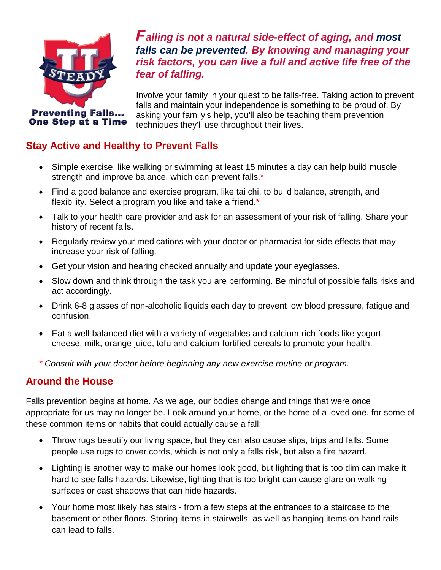

*Falling is not a natural side-effect of aging, and most falls can be prevented. By knowing and managing your risk factors, you can live a full and active life free of the fear of falling.*

Involve your family in your quest to be falls-free. Taking action to prevent falls and maintain your independence is something to be proud of. By asking your family's help, you'll also be teaching them prevention techniques they'll use throughout their lives.

## **Stay Active and Healthy to Prevent Falls**

- Simple exercise, like walking or swimming at least 15 minutes a day can help build muscle strength and improve balance, which can prevent falls.\*
- Find a good balance and exercise program, like tai chi, to build balance, strength, and flexibility. Select a program you like and take a friend.\*
- Talk to your health care provider and ask for an assessment of your risk of falling. Share your history of recent falls.
- Regularly review your medications with your doctor or pharmacist for side effects that may increase your risk of falling.
- Get your vision and hearing checked annually and update your eyeglasses.
- Slow down and think through the task you are performing. Be mindful of possible falls risks and act accordingly.
- Drink 6-8 glasses of non-alcoholic liquids each day to prevent low blood pressure, fatigue and confusion.
- Eat a well-balanced diet with a variety of vegetables and calcium-rich foods like yogurt, cheese, milk, orange juice, tofu and calcium-fortified cereals to promote your health.

*\* Consult with your doctor before beginning any new exercise routine or program.*

## **Around the House**

Falls prevention begins at home. As we age, our bodies change and things that were once appropriate for us may no longer be. Look around your home, or the home of a loved one, for some of these common items or habits that could actually cause a fall:

- Throw rugs beautify our living space, but they can also cause slips, trips and falls. Some people use rugs to cover cords, which is not only a falls risk, but also a fire hazard.
- Lighting is another way to make our homes look good, but lighting that is too dim can make it hard to see falls hazards. Likewise, lighting that is too bright can cause glare on walking surfaces or cast shadows that can hide hazards.
- Your home most likely has stairs from a few steps at the entrances to a staircase to the basement or other floors. Storing items in stairwells, as well as hanging items on hand rails, can lead to falls.